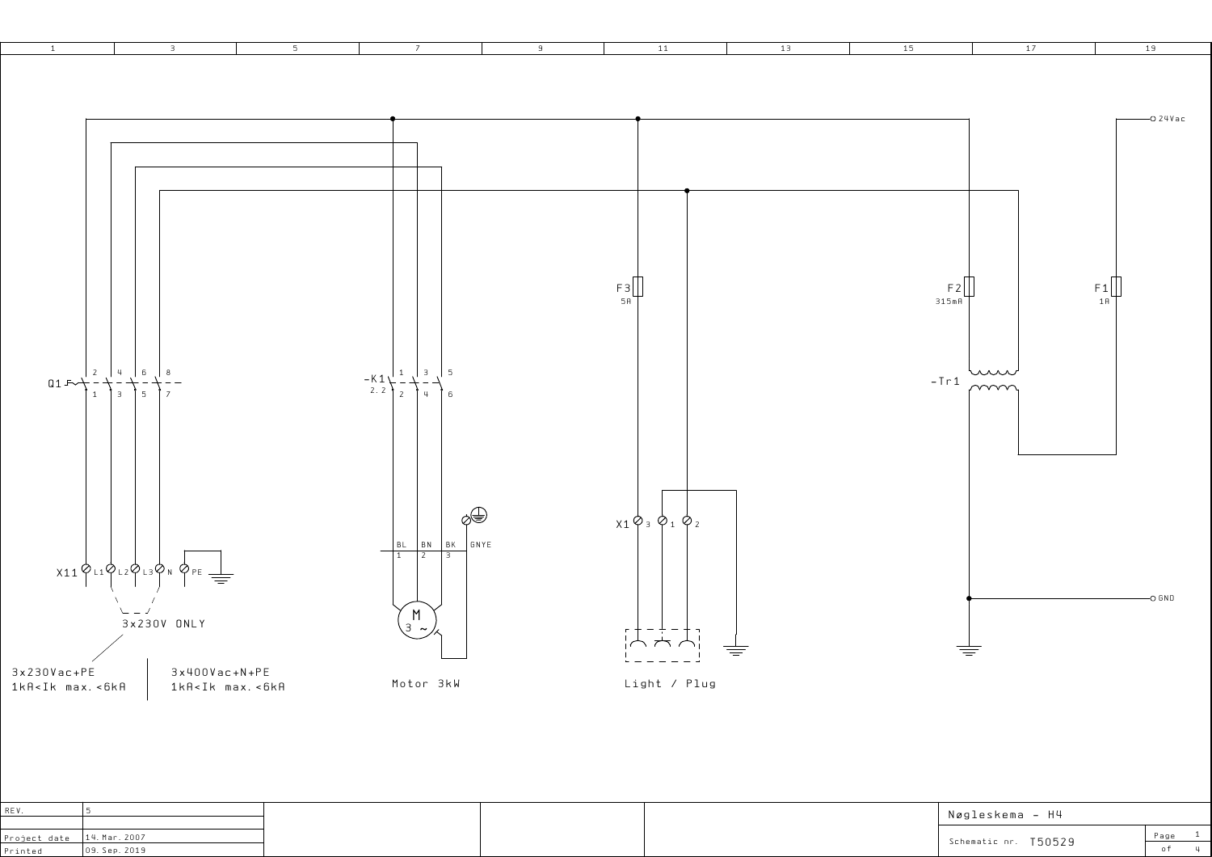

|                               |  | Nøgleskema – H4      |      |
|-------------------------------|--|----------------------|------|
| Project date $ 14.$ Mar. 2007 |  |                      | Page |
| 09. Sep. 2019                 |  | Schematic nr. T50529 |      |

1 4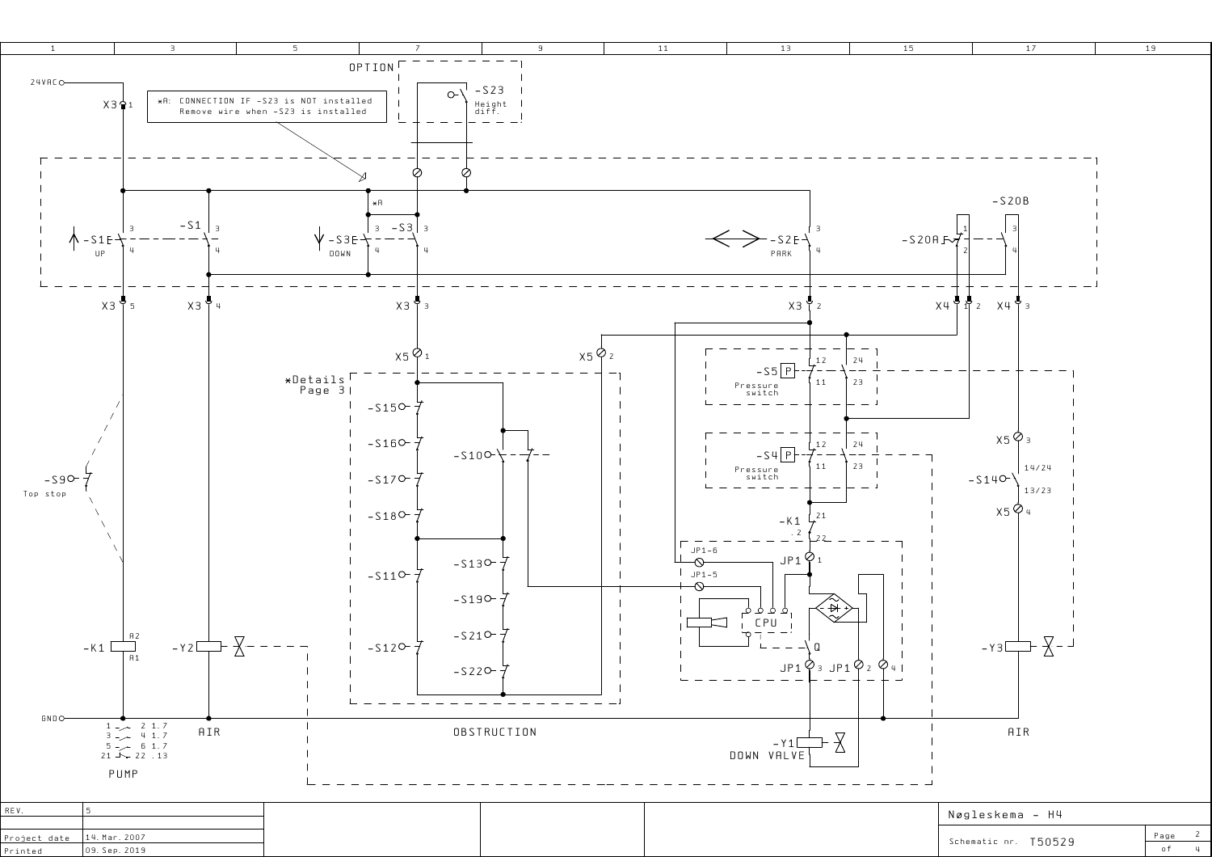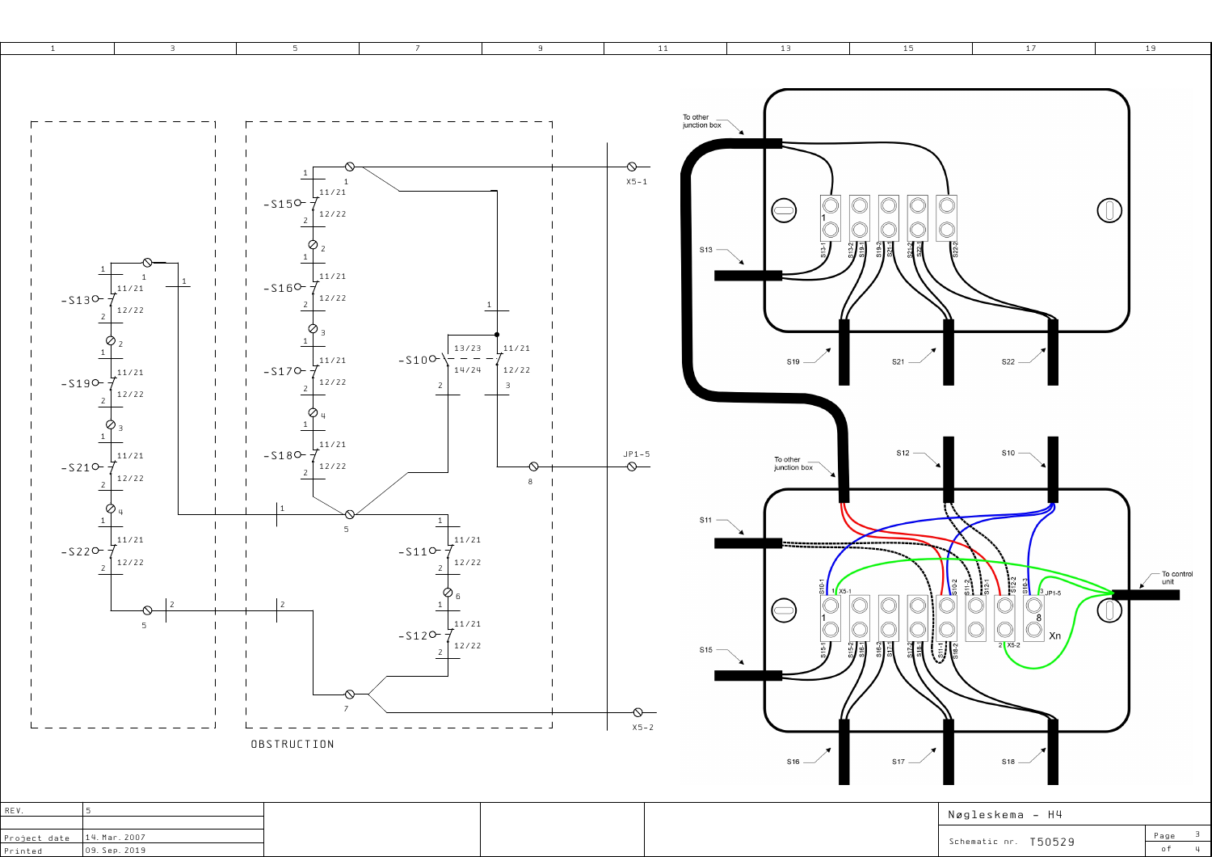

| Project date   14. Mar. 2007 |               |
|------------------------------|---------------|
| Printed                      | 09. Sep. 2019 |

Schematic nr.T50529

 of4

Page <sup>3</sup>